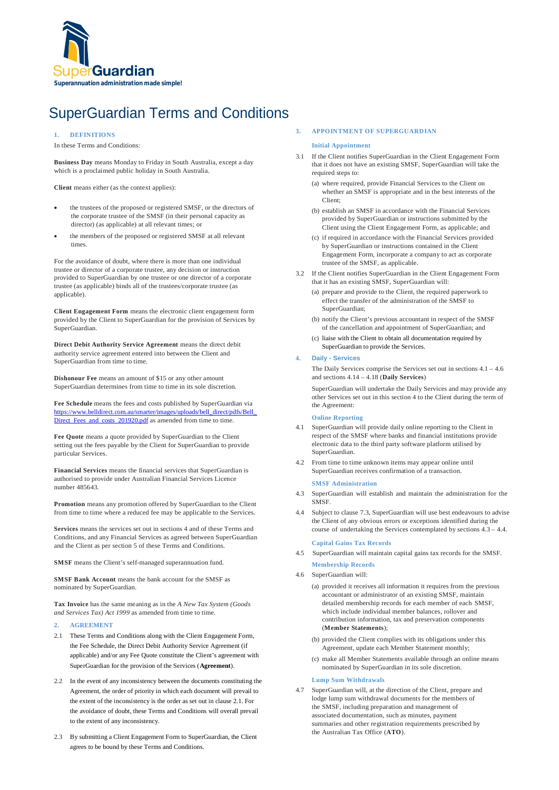

# SuperGuardian Terms and Conditions

# **1. DEFINITIONS**

In these Terms and Conditions:

**Business Day** means Monday to Friday in South Australia, except a day which is a proclaimed public holiday in South Australia.

**Client** means either (as the context applies):

- the trustees of the proposed or registered SMSF, or the directors of the corporate trustee of the SMSF (in their personal capacity as director) (as applicable) at all relevant times; or
- the members of the proposed or registered SMSF at all relevant times.

For the avoidance of doubt, where there is more than one individual trustee or director of a corporate trustee, any decision or instruction provided to SuperGuardian by one trustee or one director of a corporate trustee (as applicable) binds all of the trustees/corporate trustee (as applicable).

**Client Engagement Form** means the electronic client engagement form provided by the Client to SuperGuardian for the provision of Services by SuperGuardian.

**Direct Debit Authority Service Agreement** means the direct debit authority service agreement entered into between the Client and SuperGuardian from time to time.

**Dishonour Fee** means an amount of \$15 or any other amount SuperGuardian determines from time to time in its sole discretion.

**Fee Schedule** means the fees and costs published by SuperGuardian via https://www.belldirect.com.au/smarter/images/uploads/bell\_direct/pdfs/Bell\_ Direct\_Fees\_and\_costs\_201920.pdf as amended from time to time.

**Fee Quote** means a quote provided by SuperGuardian to the Client setting out the fees payable by the Client for SuperGuardian to provide particular Services.

**Financial Services** means the financial services that SuperGuardian is authorised to provide under Australian Financial Services Licence number 485643.

**Promotion** means any promotion offered by SuperGuardian to the Client from time to time where a reduced fee may be applicable to the Services.

**Services** means the services set out in sections 4 and of these Terms and Conditions, and any Financial Services as agreed between SuperGuardian and the Client as per section 5 of these Terms and Conditions.

**SMSF** means the Client's self-managed superannuation fund.

**SMSF Bank Account** means the bank account for the SMSF as nominated by SuperGuardian.

**Tax Invoice** has the same meaning as in the *A New Tax System (Goods and Services Tax) Act 1999* as amended from time to time.

# **2. AGREEMENT**

- 2.1 These Terms and Conditions along with the Client Engagement Form, the Fee Schedule, the Direct Debit Authority Service Agreement (if applicable) and/or any Fee Quote constitute the Client's agreement with SuperGuardian for the provision of the Services (**Agreement**).
- 2.2 In the event of any inconsistency between the documents constituting the Agreement, the order of priority in which each document will prevail to the extent of the inconsistency is the order as set out in clause 2.1. For the avoidance of doubt, these Terms and Conditions will overall prevail to the extent of any inconsistency.
- 2.3 By submitting a Client Engagement Form to SuperGuardian, the Client agrees to be bound by these Terms and Conditions.

## **3. APPOINTMENT OF SUPERGUARDIAN**

### **Initial Appointment**

- 3.1 If the Client notifies SuperGuardian in the Client Engagement Form that it does not have an existing SMSF, SuperGuardian will take the required steps to:
	- (a) where required, provide Financial Services to the Client on whether an SMSF is appropriate and in the best interests of the Client;
	- (b) establish an SMSF in accordance with the Financial Services provided by SuperGuardian or instructions submitted by the Client using the Client Engagement Form, as applicable; and
	- (c) if required in accordance with the Financial Services provided by SuperGuardian or instructions contained in the Client Engagement Form, incorporate a company to act as corporate trustee of the SMSF, as applicable.
- 3.2 If the Client notifies SuperGuardian in the Client Engagement Form that it has an existing SMSF, SuperGuardian will:
	- (a) prepare and provide to the Client, the required paperwork to effect the transfer of the administration of the SMSF to SuperGuardian;
	- (b) notify the Client's previous accountant in respect of the SMSF of the cancellation and appointment of SuperGuardian; and
	- (c) liaise with the Client to obtain all documentation required by SuperGuardian to provide the Services.

### **4. Daily - Services**

The Daily Services comprise the Services set out in sections 4.1 – 4.6 and sections 4.14 – 4.18 (**Daily Services**)

SuperGuardian will undertake the Daily Services and may provide any other Services set out in this section 4 to the Client during the term of the Agreement:

# **Online Reporting**

- 4.1 SuperGuardian will provide daily online reporting to the Client in respect of the SMSF where banks and financial institutions provide electronic data to the third party software platform utilised by SuperGuardian.
- 4.2 From time to time unknown items may appear online until SuperGuardian receives confirmation of a transaction. **SMSF Administration**
- 4.3 SuperGuardian will establish and maintain the administration for the SMSF.
- 4.4 Subject to clause 7.3, SuperGuardian will use best endeavours to advise the Client of any obvious errors or exceptions identified during the course of undertaking the Services contemplated by sections 4.3 – 4.4.

### **Capital Gains Tax Records**

- 4.5 SuperGuardian will maintain capital gains tax records for the SMSF. **Membership Records**
- 4.6 SuperGuardian will:
	- (a) provided it receives all information it requires from the previous accountant or administrator of an existing SMSF, maintain detailed membership records for each member of each SMSF, which include individual member balances, rollover and contribution information, tax and preservation components (**Member Statements**);
	- (b) provided the Client complies with its obligations under this Agreement, update each Member Statement monthly;
	- (c) make all Member Statements available through an online means nominated by SuperGuardian in its sole discretion.

## **Lump Sum Withdrawals**

SuperGuardian will, at the direction of the Client, prepare and lodge lump sum withdrawal documents for the members of the SMSF, including preparation and management of associated documentation, such as minutes, payment summaries and other registration requirements prescribed by the Australian Tax Office (**ATO**).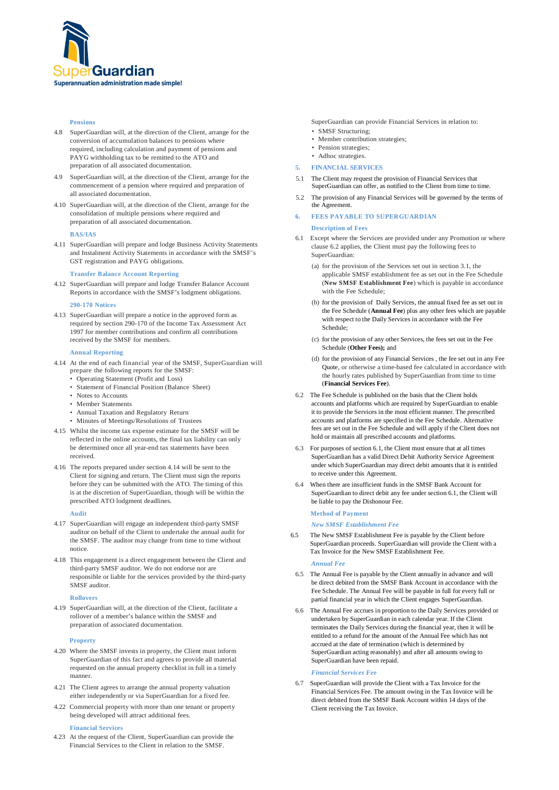

### **Pensions**

- 4.8 SuperGuardian will, at the direction of the Client, arrange for the conversion of accumulation balances to pensions where required, including calculation and payment of pensions and PAYG withholding tax to be remitted to the ATO and preparation of all associated documentation.
- 4.9 SuperGuardian will, at the direction of the Client, arrange for the commencement of a pension where required and preparation of all associated documentation.
- 4.10 SuperGuardian will, at the direction of the Client, arrange for the consolidation of multiple pensions where required and preparation of all associated documentation.

**BAS/IAS**

4.11 SuperGuardian will prepare and lodge Business Activity Statements and Instalment Activity Statements in accordance with the SMSF's GST registration and PAYG obligations.

### **Transfer Balance Account Reporting**

4.12 SuperGuardian will prepare and lodge Transfer Balance Account Reports in accordance with the SMSF's lodgment obligations.

### **290-170 Notices**

4.13 SuperGuardian will prepare a notice in the approved form as required by section 290-170 of the Income Tax Assessment Act 1997 for member contributions and confirm all contributions received by the SMSF for members.

# **Annual Reporting**

- 4.14 At the end of each financial year of the SMSF, SuperGuardian will prepare the following reports for the SMSF:
	- Operating Statement (Profit and Loss)
	- Statement of Financial Position (Balance Sheet)
	- Notes to Accounts
	- Member Statements
	- Annual Taxation and Regulatory Return
	- Minutes of Meetings/Resolutions of Trustees
- 4.15 Whilst the income tax expense estimate for the SMSF will be reflected in the online accounts, the final tax liability can only be determined once all year-end tax statements have been received.
- 4.16 The reports prepared under section 4.14 will be sent to the Client for signing and return. The Client must sign the reports before they can be submitted with the ATO. The timing of this is at the discretion of SuperGuardian, though will be within the prescribed ATO lodgment deadlines.

#### **Audit**

- 4.17 SuperGuardian will engage an independent third-party SMSF auditor on behalf of the Client to undertake the annual audit for the SMSF. The auditor may change from time to time without notice.
- 4.18 This engagement is a direct engagement between the Client and third-party SMSF auditor. We do not endorse nor are responsible or liable for the services provided by the third-party SMSF auditor.

### **Rollovers**

4.19 SuperGuardian will, at the direction of the Client, facilitate a rollover of a member's balance within the SMSF and preparation of associated documentation.

#### **Property**

- 4.20 Where the SMSF invests in property, the Client must inform SuperGuardian of this fact and agrees to provide all material requested on the annual property checklist in full in a timely manner.
- 4.21 The Client agrees to arrange the annual property valuation either independently or via SuperGuardian for a fixed fee.
- 4.22 Commercial property with more than one tenant or property being developed will attract additional fees.

### **Financial Services**

4.23 At the request of the Client, SuperGuardian can provide the Financial Services to the Client in relation to the SMSF.

SuperGuardian can provide Financial Services in relation to: • SMSF Structuring;

- Member contribution strategies;
- Pension strategies;
- Adhoc strategies.
- **5. FINANCIAL SERVICES**
- 5.1 The Client may request the provision of Financial Services that SuperGuardian can offer, as notified to the Client from time to time.
- 5.2 The provision of any Financial Services will be governed by the terms of the Agreement.

# **FEES PAYABLE TO SUPERGUARDIAN**

### **Description of Fees**

- 6.1 Except where the Services are provided under any Promotion or where clause 6.2 applies, the Client must pay the following fees to SuperGuardian:
	- (a) for the provision of the Services set out in section 3.1, the applicable SMSF establishment fee as set out in the Fee Schedule (**New SMSF Establishment Fee**) which is payable in accordance with the Fee Schedule;
	- (b) for the provision of Daily Services, the annual fixed fee as set out in the Fee Schedule (**Annual Fee**) plus any other fees which are payable with respect to the Daily Services in accordance with the Fee Schedule;
	- (c) for the provision of any other Services, the fees set out in the Fee Schedule (**Other Fees);** and
	- (d) for the provision of any Financial Services , the fee set out in any Fee Quote, or otherwise a time-based fee calculated in accordance with the hourly rates published by SuperGuardian from time to time (**Financial Services Fee**).
- 6.2 The Fee Schedule is published on the basis that the Client holds accounts and platforms which are required by SuperGuardian to enable it to provide the Services in the most efficient manner. The prescribed accounts and platforms are specified in the Fee Schedule. Alternative fees are set out in the Fee Schedule and will apply if the Client does not hold or maintain all prescribed accounts and platforms.
- 6.3 For purposes of section 6.1, the Client must ensure that at all times SuperGuardian has a valid Direct Debit Authority Service Agreement under which SuperGuardian may direct debit amounts that it is entitled to receive under this Agreement.
- 6.4 When there are insufficient funds in the SMSF Bank Account for SuperGuardian to direct debit any fee under section 6.1, the Client will be liable to pay the Dishonour Fee.

# **Method of Payment**

*New SMSF Establishment Fee* 

6.5 The New SMSF Establishment Fee is payable by the Client before SuperGuardian proceeds. SuperGuardian will provide the Client with a Tax Invoice for the New SMSF Establishment Fee.

#### *Annual Fee*

- 6.5 The Annual Fee is payable by the Client annually in advance and will be direct debited from the SMSF Bank Account in accordance with the Fee Schedule. The Annual Fee will be payable in full for every full or partial financial year in which the Client engages SuperGuardian.
- 6.6 The Annual Fee accrues in proportion to the Daily Services provided or undertaken by SuperGuardian in each calendar year. If the Client terminates the Daily Services during the financial year, then it will be entitled to a refund for the amount of the Annual Fee which has not accrued at the date of termination (which is determined by SuperGuardian acting reasonably) and after all amounts owing to SuperGuardian have been repaid.

### *Financial Services Fee*

6.7 SuperGuardian will provide the Client with a Tax Invoice for the Financial Services Fee. The amount owing in the Tax Invoice will be direct debited from the SMSF Bank Account within 14 days of the Client receiving the Tax Invoice.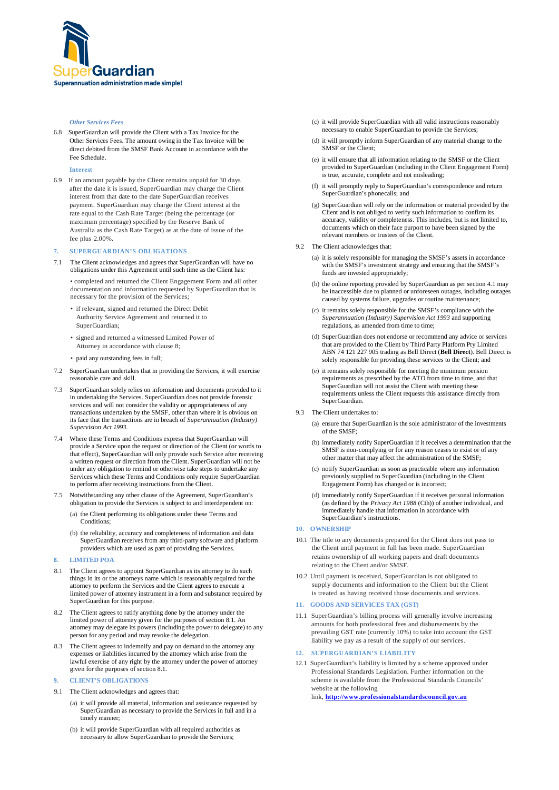

### *Other Services Fees*

6.8 SuperGuardian will provide the Client with a Tax Invoice for the Other Services Fees. The amount owing in the Tax Invoice will be direct debited from the SMSF Bank Account in accordance with the Fee Schedule.

### **Interest**

6.9 If an amount payable by the Client remains unpaid for 30 days after the date it is issued, SuperGuardian may charge the Client interest from that date to the date SuperGuardian receives payment. SuperGuardian may charge the Client interest at the rate equal to the Cash Rate Target (being the percentage (or maximum percentage) specified by the Reserve Bank of Australia as the Cash Rate Target) as at the date of issue of the fee plus 2.00%.

# **7. SUPERGUARDIAN'S OBLIGATIONS**

7.1 The Client acknowledges and agrees that SuperGuardian will have no obligations under this Agreement until such time as the Client has:

• completed and returned the Client Engagement Form and all other documentation and information requested by SuperGuardian that is necessary for the provision of the Services;

- if relevant, signed and returned the Direct Debit Authority Service Agreement and returned it to SuperGuardian;
- signed and returned a witnessed Limited Power of Attorney in accordance with clause 8;
- paid any outstanding fees in full:
- 7.2 SuperGuardian undertakes that in providing the Services, it will exercise reasonable care and skill.
- 7.3 SuperGuardian solely relies on information and documents provided to it in undertaking the Services. SuperGuardian does not provide forensic services and will not consider the validity or appropriateness of any transactions undertaken by the SMSF, other than where it is obvious on its face that the transactions are in breach of *Superannuation (Industry) Supervision Act 1993.*
- 7.4 Where these Terms and Conditions express that SuperGuardian will provide a Service upon the request or direction of the Client (or words to that effect), SuperGuardian will only provide such Service after receiving a written request or direction from the Client. SuperGuardian will not be under any obligation to remind or otherwise take steps to undertake any Services which these Terms and Conditions only require SuperGuardian to perform after receiving instructions from the Client.
- 7.5 Notwithstanding any other clause of the Agreement, SuperGuardian's obligation to provide the Services is subject to and interdependent on:
	- (a) the Client performing its obligations under these Terms and Conditions;
	- (b) the reliability, accuracy and completeness of information and data SuperGuardian receives from any third-party software and platform providers which are used as part of providing the Services.

# **8. LIMITED POA**

- 8.1 The Client agrees to appoint SuperGuardian as its attorney to do such things in its or the attorneys name which is reasonably required for the attorney to perform the Services and the Client agrees to execute a limited power of attorney instrument in a form and substance required by SuperGuardian for this purpose.
- 8.2 The Client agrees to ratify anything done by the attorney under the limited power of attorney given for the purposes of section 8.1. An attorney may delegate its powers (including the power to delegate) to any person for any period and may revoke the delegation.
- 8.3 The Client agrees to indemnify and pay on demand to the attorney any expenses or liabilities incurred by the attorney which arise from the lawful exercise of any right by the attorney under the power of attorney given for the purposes of section 8.1.

## **9. CLIENT'S OBLIGATIONS**

- 9.1 The Client acknowledges and agrees that:
	- (a) it will provide all material, information and assistance requested by SuperGuardian as necessary to provide the Services in full and in a timely manner;
	- (b) it will provide SuperGuardian with all required authorities as necessary to allow SuperGuardian to provide the Services;
- (c) it will provide SuperGuardian with all valid instructions reasonably necessary to enable SuperGuardian to provide the Services;
- (d) it will promptly inform SuperGuardian of any material change to the SMSF or the Client;
- (e) it will ensure that all information relating to the SMSF or the Client provided to SuperGuardian (including in the Client Engagement Form) is true, accurate, complete and not misleading;
- (f) it will promptly reply to SuperGuardian's correspondence and return SuperGuardian's phonecalls; and
- (g) SuperGuardian will rely on the information or material provided by the Client and is not obliged to verify such information to confirm its accuracy, validity or completeness. This includes, but is not limited to, documents which on their face purport to have been signed by the relevant members or trustees of the Client.
- 9.2 The Client acknowledges that:
	- (a) it is solely responsible for managing the SMSF's assets in accordance with the SMSF's investment strategy and ensuring that the SMSF's funds are invested appropriately;
	- (b) the online reporting provided by SuperGuardian as per section 4.1 may be inaccessible due to planned or unforeseen outages, including outages caused by systems failure, upgrades or routine maintenance;
	- (c) it remains solely responsible for the SMSF's compliance with the *Superannuation (Industry) Supervision Act 1993* and supporting regulations, as amended from time to time;
	- (d) SuperGuardian does not endorse or recommend any advice or services that are provided to the Client by Third Party Platform Pty Limited ABN 74 121 227 905 trading as Bell Direct (**Bell Direct**). Bell Direct is solely responsible for providing these services to the Client; and
	- (e) it remains solely responsible for meeting the minimum pension requirements as prescribed by the ATO from time to time, and that SuperGuardian will not assist the Client with meeting these requirements unless the Client requests this assistance directly from SuperGuardian.
- 9.3 The Client undertakes to:
	- (a) ensure that SuperGuardian is the sole administrator of the investments of the SMSF;
	- (b) immediately notify SuperGuardian if it receives a determination that the SMSF is non-complying or for any reason ceases to exist or of any other matter that may affect the administration of the SMSF;
	- (c) notify SuperGuardian as soon as practicable where any information previously supplied to SuperGuardian (including in the Client Engagement Form) has changed or is incorrect;
	- (d) immediately notify SuperGuardian if it receives personal information (as defined by the *Privacy Act 1988* (Cth)) of another individual, and immediately handle that information in accordance with SuperGuardian's instructions.

# **10. OWNERSHIP**

- 10.1 The title to any documents prepared for the Client does not pass to the Client until payment in full has been made. SuperGuardian retains ownership of all working papers and draft documents relating to the Client and/or SMSF.
- 10.2 Until payment is received, SuperGuardian is not obligated to supply documents and information to the Client but the Client is treated as having received those documents and services.

### **11. GOODS AND SERVICES TAX (GST)**

11.1 SuperGuardian's billing process will generally involve increasing amounts for both professional fees and disbursements by the prevailing GST rate (currently 10%) to take into account the GST liability we pay as a result of the supply of our services.

# **12. SUPERGUARDIAN'S LIABILITY**

12.1 SuperGuardian's liability is limited by a scheme approved under Professional Standards Legislation. Further information on the scheme is available from the Professional Standards Councils' website at the following link, **http://www.professionalstandardscouncil.gov.au**